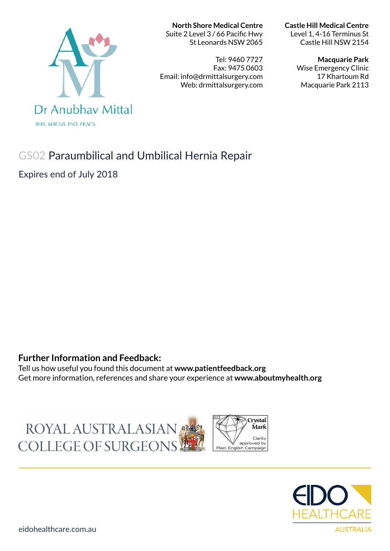# Dr Anubhay Mittal

**BHB, MBChB, PhD, FRACS** 

#### **North Shore Medical Centre**

Suite 2 Level 3 / 66 Pacific Hwy St Leonards NSW 2065

Tel: 9460 7727 Fax: 9475 0603 Email: info@drmittalsurgery.com Web: drmittalsurgery.com

#### **Castle Hill Medical Centre**

Level 1, 4-16 Terminus St Castle Hill NSW 2154

#### **Macquarie Park**

Wise Emergency Clinic 17 Khartoum Rd Macquarie Park 2113

# GS02 Paraumbilical and Umbilical Hernia Repair

Expires end of July 2018

### **Further Information and Feedback:**

Tell us how useful you found this document at **www.patientfeedback.org** Get more information, references and share your experience at **www.aboutmyhealth.org**

ROYAL AUSTRALASIAN COLLEGE OF SURGEONS



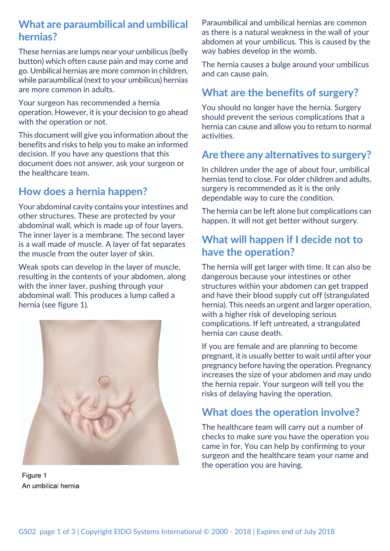# **What are paraumbilical and umbilical hernias?**

These hernias are lumps near your umbilicus (belly button) which often cause pain and may come and go. Umbilical hernias are more common in children, while paraumbilical (next to your umbilicus) hernias are more common in adults.

Your surgeon has recommended a hernia operation. However, it is your decision to go ahead with the operation or not.

This document will give you information about the benefits and risks to help you to make an informed decision. If you have any questions that this document does not answer, ask your surgeon or the healthcare team.

# **How does a hernia happen?**

Your abdominal cavity contains your intestines and other structures. These are protected by your abdominal wall, which is made up of four layers. The inner layer is a membrane. The second layer is a wall made of muscle. A layer of fat separates the muscle from the outer layer of skin.

Weak spots can develop in the layer of muscle, resulting in the contents of your abdomen, along with the inner layer, pushing through your abdominal wall. This produces a lump called a hernia (see figure 1).



Figure 1 An umbilical hernia

Paraumbilical and umbilical hernias are common as there is a natural weakness in the wall of your abdomen at your umbilicus. This is caused by the way babies develop in the womb.

The hernia causes a bulge around your umbilicus and can cause pain.

# **What are the benefits of surgery?**

You should no longer have the hernia. Surgery should prevent the serious complications that a hernia can cause and allow you to return to normal activities.

## **Are there any alternatives to surgery?**

In children under the age of about four, umbilical hernias tend to close. For older children and adults, surgery is recommended as it is the only dependable way to cure the condition.

The hernia can be left alone but complications can happen. It will not get better without surgery.

## **What will happen if I decide not to have the operation?**

The hernia will get larger with time. It can also be dangerous because your intestines or other structures within your abdomen can get trapped and have their blood supply cut off (strangulated hernia). This needs an urgent and larger operation, with a higher risk of developing serious complications. If left untreated, a strangulated hernia can cause death.

If you are female and are planning to become pregnant, it is usually better to wait until after your pregnancy before having the operation. Pregnancy increases the size of your abdomen and may undo the hernia repair. Your surgeon will tell you the risks of delaying having the operation.

# **What does the operation involve?**

The healthcare team will carry out a number of checks to make sure you have the operation you came in for. You can help by confirming to your surgeon and the healthcare team your name and the operation you are having.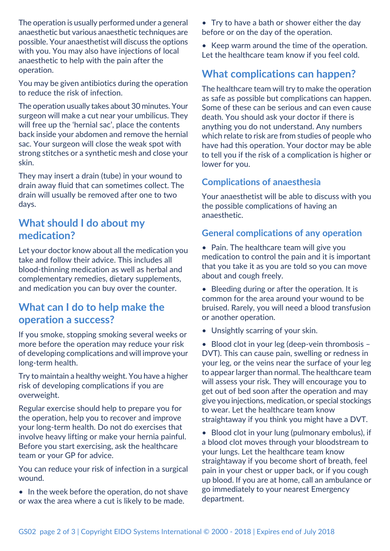The operation is usually performed under a general anaesthetic but various anaesthetic techniques are possible. Your anaesthetist will discuss the options with you. You may also have injections of local anaesthetic to help with the pain after the operation.

You may be given antibiotics during the operation to reduce the risk of infection.

The operation usually takes about 30 minutes. Your surgeon will make a cut near your umbilicus. They will free up the 'hernial sac', place the contents back inside your abdomen and remove the hernial sac. Your surgeon will close the weak spot with strong stitches or a synthetic mesh and close your skin.

They may insert a drain (tube) in your wound to drain away fluid that can sometimes collect. The drain will usually be removed after one to two days.

# **What should I do about my medication?**

Let your doctor know about all the medication you take and follow their advice. This includes all blood-thinning medication as well as herbal and complementary remedies, dietary supplements, and medication you can buy over the counter.

# **What can I do to help make the operation a success?**

If you smoke, stopping smoking several weeks or more before the operation may reduce your risk of developing complications and will improve your long-term health.

Try to maintain a healthy weight. You have a higher risk of developing complications if you are overweight.

Regular exercise should help to prepare you for the operation, help you to recover and improve your long-term health. Do not do exercises that involve heavy lifting or make your hernia painful. Before you start exercising, ask the healthcare team or your GP for advice.

You can reduce your risk of infection in a surgical wound.

• In the week before the operation, do not shave or wax the area where a cut is likely to be made.

• Try to have a bath or shower either the day before or on the day of the operation.

• Keep warm around the time of the operation. Let the healthcare team know if you feel cold.

# **What complications can happen?**

The healthcare team will try to make the operation as safe as possible but complications can happen. Some of these can be serious and can even cause death. You should ask your doctor if there is anything you do not understand. Any numbers which relate to risk are from studies of people who have had this operation. Your doctor may be able to tell you if the risk of a complication is higher or lower for you.

### **Complications of anaesthesia**

Your anaesthetist will be able to discuss with you the possible complications of having an anaesthetic.

## **General complications of any operation**

• Pain. The healthcare team will give you medication to control the pain and it is important that you take it as you are told so you can move about and cough freely.

• Bleeding during or after the operation. It is common for the area around your wound to be bruised. Rarely, you will need a blood transfusion or another operation.

• Unsightly scarring of your skin.

• Blood clot in your leg (deep-vein thrombosis – DVT). This can cause pain, swelling or redness in your leg, or the veins near the surface of your leg to appear larger than normal. The healthcare team will assess your risk. They will encourage you to get out of bed soon after the operation and may give you injections, medication, or special stockings to wear. Let the healthcare team know straightaway if you think you might have a DVT.

• Blood clot in your lung (pulmonary embolus), if a blood clot moves through your bloodstream to your lungs. Let the healthcare team know straightaway if you become short of breath, feel pain in your chest or upper back, or if you cough up blood. If you are at home, call an ambulance or go immediately to your nearest Emergency department.